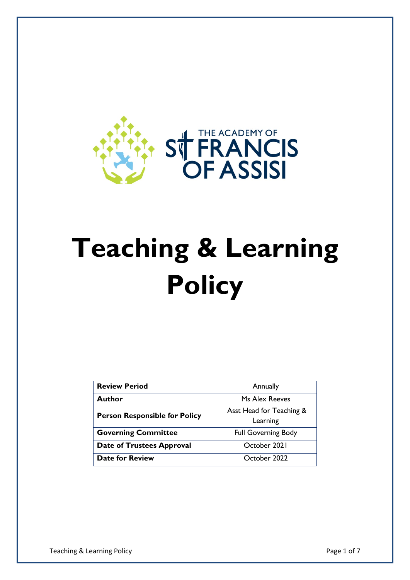

# **Teaching & Learning Policy**

| <b>Review Period</b>                 | Annually                             |
|--------------------------------------|--------------------------------------|
| Author                               | Ms Alex Reeves                       |
| <b>Person Responsible for Policy</b> | Asst Head for Teaching &<br>Learning |
| <b>Governing Committee</b>           | <b>Full Governing Body</b>           |
| <b>Date of Trustees Approval</b>     | October 2021                         |
| <b>Date for Review</b>               | October 2022                         |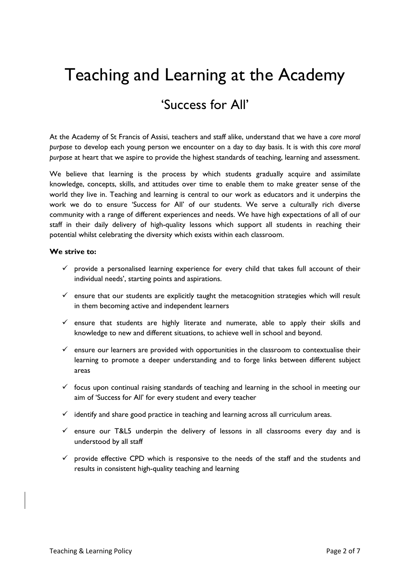## Teaching and Learning at the Academy

### 'Success for All'

At the Academy of St Francis of Assisi, teachers and staff alike, understand that we have a *core moral purpose* to develop each young person we encounter on a day to day basis. It is with this *core moral purpose* at heart that we aspire to provide the highest standards of teaching, learning and assessment.

We believe that learning is the process by which students gradually acquire and assimilate knowledge, concepts, skills, and attitudes over time to enable them to make greater sense of the world they live in. Teaching and learning is central to our work as educators and it underpins the work we do to ensure 'Success for All' of our students. We serve a culturally rich diverse community with a range of different experiences and needs. We have high expectations of all of our staff in their daily delivery of high-quality lessons which support all students in reaching their potential whilst celebrating the diversity which exists within each classroom.

#### **We strive to:**

- $\checkmark$  provide a personalised learning experience for every child that takes full account of their individual needs', starting points and aspirations.
- $\checkmark$  ensure that our students are explicitly taught the metacognition strategies which will result in them becoming active and independent learners
- $\checkmark$  ensure that students are highly literate and numerate, able to apply their skills and knowledge to new and different situations, to achieve well in school and beyond.
- $\checkmark$  ensure our learners are provided with opportunities in the classroom to contextualise their learning to promote a deeper understanding and to forge links between different subject areas
- $\checkmark$  focus upon continual raising standards of teaching and learning in the school in meeting our aim of 'Success for All' for every student and every teacher
- $\checkmark$  identify and share good practice in teaching and learning across all curriculum areas.
- $\checkmark$  ensure our T&L5 underpin the delivery of lessons in all classrooms every day and is understood by all staff
- $\checkmark$  provide effective CPD which is responsive to the needs of the staff and the students and results in consistent high-quality teaching and learning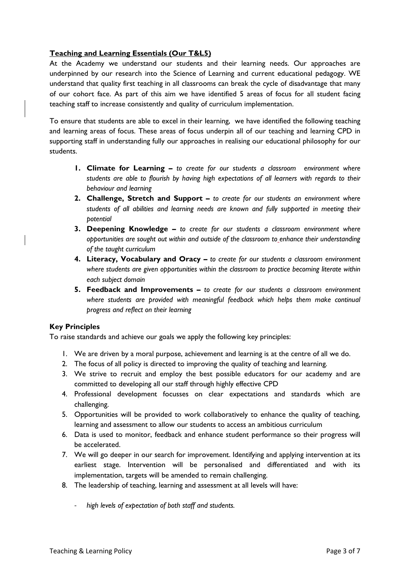#### **Teaching and Learning Essentials (Our T&L5)**

At the Academy we understand our students and their learning needs. Our approaches are underpinned by our research into the Science of Learning and current educational pedagogy. WE understand that quality first teaching in all classrooms can break the cycle of disadvantage that many of our cohort face. As part of this aim we have identified 5 areas of focus for all student facing teaching staff to increase consistently and quality of curriculum implementation.

To ensure that students are able to excel in their learning, we have identified the following teaching and learning areas of focus. These areas of focus underpin all of our teaching and learning CPD in supporting staff in understanding fully our approaches in realising our educational philosophy for our students.

- **1. Climate for Learning –** *to create for our students a classroom environment where students are able to flourish by having high expectations of all learners with regards to their behaviour and learning*
- **2. Challenge, Stretch and Support –** *to create for our students an environment where students of all abilities and learning needs are known and fully supported in meeting their potential*
- **3. Deepening Knowledge –** *to create for our students a classroom environment where opportunities are sought out within and outside of the classroom to enhance their understanding of the taught curriculum*
- **4. Literacy, Vocabulary and Oracy –** *to create for our students a classroom environment where students are given opportunities within the classroom to practice becoming literate within each subject domain*
- **5. Feedback and Improvements –** *to create for our students a classroom environment*  where students are provided with meaningful feedback which helps them make continual *progress and reflect on their learning*

#### **Key Principles**

To raise standards and achieve our goals we apply the following key principles:

- 1. We are driven by a moral purpose, achievement and learning is at the centre of all we do.
- 2. The focus of all policy is directed to improving the quality of teaching and learning.
- 3. We strive to recruit and employ the best possible educators for our academy and are committed to developing all our staff through highly effective CPD
- 4. Professional development focusses on clear expectations and standards which are challenging.
- 5. Opportunities will be provided to work collaboratively to enhance the quality of teaching, learning and assessment to allow our students to access an ambitious curriculum
- 6. Data is used to monitor, feedback and enhance student performance so their progress will be accelerated.
- 7. We will go deeper in our search for improvement. Identifying and applying intervention at its earliest stage. Intervention will be personalised and differentiated and with its implementation, targets will be amended to remain challenging.
- 8. The leadership of teaching, learning and assessment at all levels will have:
	- *high levels of expectation of both staff and students.*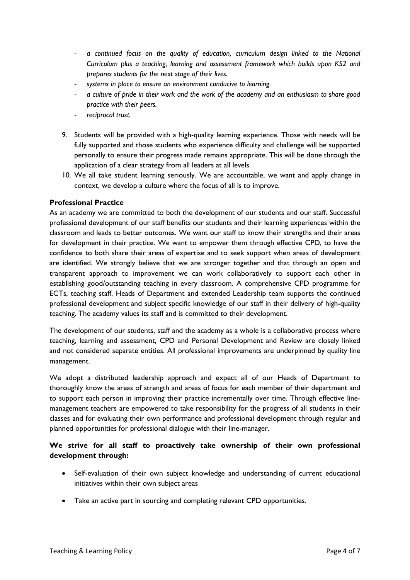- *a continued focus on the quality of education, curriculum design linked to the National Curriculum plus a teaching, learning and assessment framework which builds upon KS2 and prepares students for the next stage of their lives.*
- *systems in place to ensure an environment conducive to learning.*
- *a culture of pride in their work and the work of the academy and an enthusiasm to share good practice with their peers.*
- *reciprocal trust.*
- 9. Students will be provided with a high-quality learning experience. Those with needs will be fully supported and those students who experience difficulty and challenge will be supported personally to ensure their progress made remains appropriate. This will be done through the application of a clear strategy from all leaders at all levels.
- 10. We all take student learning seriously. We are accountable, we want and apply change in context, we develop a culture where the focus of all is to improve.

#### **Professional Practice**

As an academy we are committed to both the development of our students and our staff. Successful professional development of our staff benefits our students and their learning experiences within the classroom and leads to better outcomes. We want our staff to know their strengths and their areas for development in their practice. We want to empower them through effective CPD, to have the confidence to both share their areas of expertise and to seek support when areas of development are identified. We strongly believe that we are stronger together and that through an open and transparent approach to improvement we can work collaboratively to support each other in establishing good/outstanding teaching in every classroom. A comprehensive CPD programme for ECTs, teaching staff, Heads of Department and extended Leadership team supports the continued professional development and subject specific knowledge of our staff in their delivery of high-quality teaching. The academy values its staff and is committed to their development.

The development of our students, staff and the academy as a whole is a collaborative process where teaching, learning and assessment, CPD and Personal Development and Review are closely linked and not considered separate entities. All professional improvements are underpinned by quality line management.

We adopt a distributed leadership approach and expect all of our Heads of Department to thoroughly know the areas of strength and areas of focus for each member of their department and to support each person in improving their practice incrementally over time. Through effective linemanagement teachers are empowered to take responsibility for the progress of all students in their classes and for evaluating their own performance and professional development through regular and planned opportunities for professional dialogue with their line-manager.

#### **We strive for all staff to proactively take ownership of their own professional development through:**

- Self-evaluation of their own subject knowledge and understanding of current educational initiatives within their own subject areas
- Take an active part in sourcing and completing relevant CPD opportunities.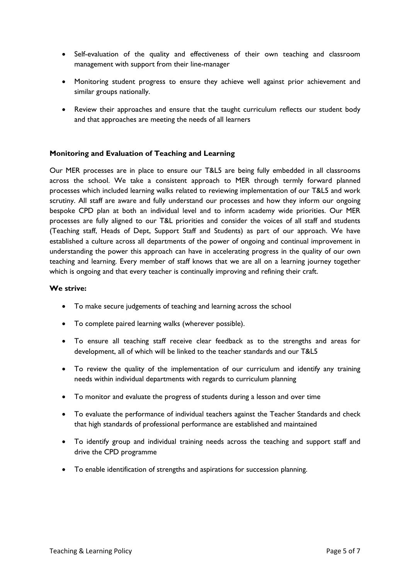- Self-evaluation of the quality and effectiveness of their own teaching and classroom management with support from their line-manager
- Monitoring student progress to ensure they achieve well against prior achievement and similar groups nationally.
- Review their approaches and ensure that the taught curriculum reflects our student body and that approaches are meeting the needs of all learners

#### **Monitoring and Evaluation of Teaching and Learning**

Our MER processes are in place to ensure our T&L5 are being fully embedded in all classrooms across the school. We take a consistent approach to MER through termly forward planned processes which included learning walks related to reviewing implementation of our T&L5 and work scrutiny. All staff are aware and fully understand our processes and how they inform our ongoing bespoke CPD plan at both an individual level and to inform academy wide priorities. Our MER processes are fully aligned to our T&L priorities and consider the voices of all staff and students (Teaching staff, Heads of Dept, Support Staff and Students) as part of our approach. We have established a culture across all departments of the power of ongoing and continual improvement in understanding the power this approach can have in accelerating progress in the quality of our own teaching and learning. Every member of staff knows that we are all on a learning journey together which is ongoing and that every teacher is continually improving and refining their craft.

#### **We strive:**

- To make secure judgements of teaching and learning across the school
- To complete paired learning walks (wherever possible).
- To ensure all teaching staff receive clear feedback as to the strengths and areas for development, all of which will be linked to the teacher standards and our T&L5
- To review the quality of the implementation of our curriculum and identify any training needs within individual departments with regards to curriculum planning
- To monitor and evaluate the progress of students during a lesson and over time
- To evaluate the performance of individual teachers against the Teacher Standards and check that high standards of professional performance are established and maintained
- To identify group and individual training needs across the teaching and support staff and drive the CPD programme
- To enable identification of strengths and aspirations for succession planning.